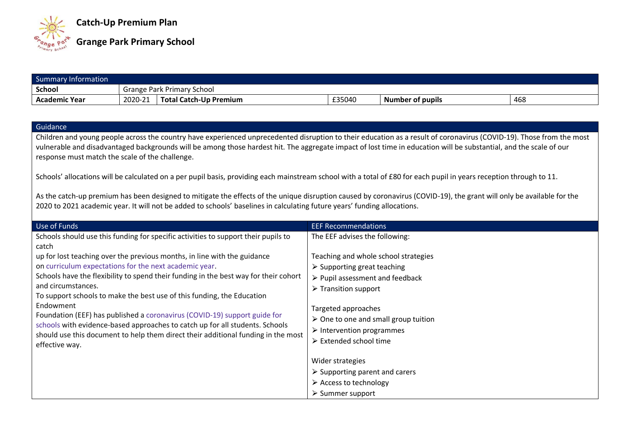

| Summary Information  |         |                               |        |                  |     |
|----------------------|---------|-------------------------------|--------|------------------|-----|
| School               |         | Grange Park Primary School    |        |                  |     |
| <b>Academic Year</b> | 2020-21 | <b>Total Catch-Up Premium</b> | £35040 | Number of pupils | 468 |

## **Guidance**

Children and young people across the country have experienced unprecedented disruption to their education as a result of coronavirus (COVID-19). Those from the most vulnerable and disadvantaged backgrounds will be among those hardest hit. The aggregate impact of lost time in education will be substantial, and the scale of our response must match the scale of the challenge.

Schools' allocations will be calculated on a per pupil basis, providing each mainstream school with a total of £80 for each pupil in years reception through to 11.

As the catch-up premium has been designed to mitigate the effects of the unique disruption caused by coronavirus (COVID-19), the grant will only be available for the 2020 to 2021 academic year. It will not be added to schools' baselines in calculating future years' funding allocations.

| Use of Funds                                                                                        | <b>EEF Recommendations</b>                          |
|-----------------------------------------------------------------------------------------------------|-----------------------------------------------------|
| Schools should use this funding for specific activities to support their pupils to                  | The EEF advises the following:                      |
| catch                                                                                               |                                                     |
| up for lost teaching over the previous months, in line with the guidance                            | Teaching and whole school strategies                |
| on curriculum expectations for the next academic year.                                              | $\triangleright$ Supporting great teaching          |
| Schools have the flexibility to spend their funding in the best way for their cohort                | $\triangleright$ Pupil assessment and feedback      |
| and circumstances.                                                                                  | $\triangleright$ Transition support                 |
| To support schools to make the best use of this funding, the Education                              |                                                     |
| Endowment                                                                                           | Targeted approaches                                 |
| Foundation (EEF) has published a coronavirus (COVID-19) support guide for                           | $\triangleright$ One to one and small group tuition |
| schools with evidence-based approaches to catch up for all students. Schools                        | $\triangleright$ Intervention programmes            |
| should use this document to help them direct their additional funding in the most<br>effective way. | $\triangleright$ Extended school time               |
|                                                                                                     |                                                     |
|                                                                                                     | Wider strategies                                    |
|                                                                                                     | $\triangleright$ Supporting parent and carers       |
|                                                                                                     | $\triangleright$ Access to technology               |
|                                                                                                     | $\triangleright$ Summer support                     |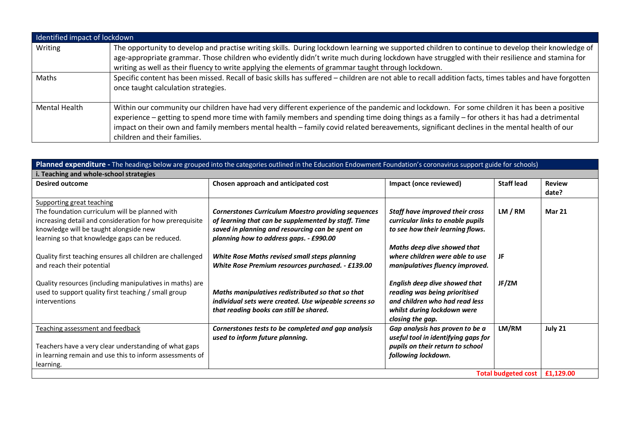| Identified impact of lockdown |                                                                                                                                                                                                                                                                                                                                                                                                                                                                           |
|-------------------------------|---------------------------------------------------------------------------------------------------------------------------------------------------------------------------------------------------------------------------------------------------------------------------------------------------------------------------------------------------------------------------------------------------------------------------------------------------------------------------|
| Writing                       | The opportunity to develop and practise writing skills. During lockdown learning we supported children to continue to develop their knowledge of<br>age-appropriate grammar. Those children who evidently didn't write much during lockdown have struggled with their resilience and stamina for<br>writing as well as their fluency to write applying the elements of grammar taught through lockdown.                                                                   |
| Maths                         | Specific content has been missed. Recall of basic skills has suffered - children are not able to recall addition facts, times tables and have forgotten<br>once taught calculation strategies.                                                                                                                                                                                                                                                                            |
| <b>Mental Health</b>          | Within our community our children have had very different experience of the pandemic and lockdown. For some children it has been a positive<br>experience - getting to spend more time with family members and spending time doing things as a family - for others it has had a detrimental<br>impact on their own and family members mental health - family covid related bereavements, significant declines in the mental health of our<br>children and their families. |

| Planned expenditure - The headings below are grouped into the categories outlined in the Education Endowment Foundation's coronavirus support guide for schools)                                                                                                                                                                |                                                                                                                                                                                                                                                                                                                        |                                                                                                                                                                                                               |                   |                        |  |  |
|---------------------------------------------------------------------------------------------------------------------------------------------------------------------------------------------------------------------------------------------------------------------------------------------------------------------------------|------------------------------------------------------------------------------------------------------------------------------------------------------------------------------------------------------------------------------------------------------------------------------------------------------------------------|---------------------------------------------------------------------------------------------------------------------------------------------------------------------------------------------------------------|-------------------|------------------------|--|--|
| i. Teaching and whole-school strategies                                                                                                                                                                                                                                                                                         |                                                                                                                                                                                                                                                                                                                        |                                                                                                                                                                                                               |                   |                        |  |  |
| <b>Desired outcome</b>                                                                                                                                                                                                                                                                                                          | Chosen approach and anticipated cost                                                                                                                                                                                                                                                                                   | Impact (once reviewed)                                                                                                                                                                                        | <b>Staff lead</b> | <b>Review</b><br>date? |  |  |
| Supporting great teaching<br>The foundation curriculum will be planned with<br>increasing detail and consideration for how prerequisite<br>knowledge will be taught alongside new<br>learning so that knowledge gaps can be reduced.<br>Quality first teaching ensures all children are challenged<br>and reach their potential | <b>Cornerstones Curriculum Maestro providing sequences</b><br>of learning that can be supplemented by staff. Time<br>saved in planning and resourcing can be spent on<br>planning how to address gaps. - £990.00<br>White Rose Maths revised small steps planning<br>White Rose Premium resources purchased. - £139.00 | Staff have improved their cross<br>curricular links to enable pupils<br>to see how their learning flows.<br>Maths deep dive showed that<br>where children were able to use<br>manipulatives fluency improved. | LM / RM<br>JF     | <b>Mar 21</b>          |  |  |
| Quality resources (including manipulatives in maths) are<br>used to support quality first teaching / small group<br>interventions                                                                                                                                                                                               | Maths manipulatives redistributed so that so that<br>individual sets were created. Use wipeable screens so<br>that reading books can still be shared.                                                                                                                                                                  | English deep dive showed that<br>reading was being prioritised<br>and children who had read less<br>whilst during lockdown were<br>closing the gap.                                                           | JF/ZM             |                        |  |  |
| Teaching assessment and feedback<br>Teachers have a very clear understanding of what gaps<br>in learning remain and use this to inform assessments of<br>learning.                                                                                                                                                              | Cornerstones tests to be completed and gap analysis<br>used to inform future planning.                                                                                                                                                                                                                                 | Gap analysis has proven to be a<br>useful tool in identifying gaps for<br>pupils on their return to school<br>following lockdown.                                                                             | LM/RM             | July 21                |  |  |
| Total budgeted cost   £1,129.00                                                                                                                                                                                                                                                                                                 |                                                                                                                                                                                                                                                                                                                        |                                                                                                                                                                                                               |                   |                        |  |  |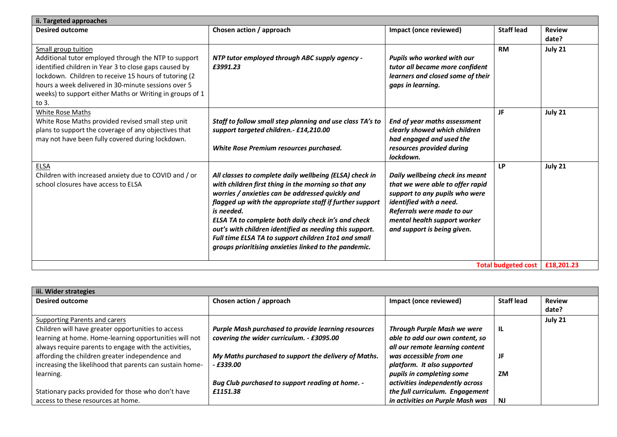| ii. Targeted approaches                                                                                                                                                                                                                                                                                                   |                                                                                                                                                                                                                                                                                                                                                                                                                                                                                  |                                                                                                                                                                                                                               |                   |                        |  |  |
|---------------------------------------------------------------------------------------------------------------------------------------------------------------------------------------------------------------------------------------------------------------------------------------------------------------------------|----------------------------------------------------------------------------------------------------------------------------------------------------------------------------------------------------------------------------------------------------------------------------------------------------------------------------------------------------------------------------------------------------------------------------------------------------------------------------------|-------------------------------------------------------------------------------------------------------------------------------------------------------------------------------------------------------------------------------|-------------------|------------------------|--|--|
| <b>Desired outcome</b>                                                                                                                                                                                                                                                                                                    | Chosen action / approach                                                                                                                                                                                                                                                                                                                                                                                                                                                         | Impact (once reviewed)                                                                                                                                                                                                        | <b>Staff lead</b> | <b>Review</b><br>date? |  |  |
| Small group tuition<br>Additional tutor employed through the NTP to support<br>identified children in Year 3 to close gaps caused by<br>lockdown. Children to receive 15 hours of tutoring (2<br>hours a week delivered in 30-minute sessions over 5<br>weeks) to support either Maths or Writing in groups of 1<br>to 3. | NTP tutor employed through ABC supply agency -<br>£3991.23                                                                                                                                                                                                                                                                                                                                                                                                                       | Pupils who worked with our<br>tutor all became more confident<br>learners and closed some of their<br>gaps in learning.                                                                                                       | <b>RM</b>         | July 21                |  |  |
| White Rose Maths<br>White Rose Maths provided revised small step unit<br>plans to support the coverage of any objectives that<br>may not have been fully covered during lockdown.                                                                                                                                         | Staff to follow small step planning and use class TA's to<br>support targeted children.- £14,210.00<br>White Rose Premium resources purchased.                                                                                                                                                                                                                                                                                                                                   | End of year maths assessment<br>clearly showed which children<br>had engaged and used the<br>resources provided during<br>lockdown.                                                                                           | JF                | July 21                |  |  |
| ELSA<br>Children with increased anxiety due to COVID and / or<br>school closures have access to ELSA                                                                                                                                                                                                                      | All classes to complete daily wellbeing (ELSA) check in<br>with children first thing in the morning so that any<br>worries / anxieties can be addressed quickly and<br>flagged up with the appropriate staff if further support<br>is needed.<br>ELSA TA to complete both daily check in's and check<br>out's with children identified as needing this support.<br>Full time ELSA TA to support children 1to1 and small<br>groups prioritising anxieties linked to the pandemic. | Daily wellbeing check ins meant<br>that we were able to offer rapid<br>support to any pupils who were<br>identified with a need.<br>Referrals were made to our<br>mental health support worker<br>and support is being given. | LP                | July 21                |  |  |
| <b>Total budgeted cost</b>                                                                                                                                                                                                                                                                                                |                                                                                                                                                                                                                                                                                                                                                                                                                                                                                  |                                                                                                                                                                                                                               |                   | £18,201.23             |  |  |

| iii. Wider strategies                                    |                                                      |                                    |                   |               |
|----------------------------------------------------------|------------------------------------------------------|------------------------------------|-------------------|---------------|
| <b>Desired outcome</b>                                   | Chosen action / approach                             | Impact (once reviewed)             | <b>Staff lead</b> | <b>Review</b> |
|                                                          |                                                      |                                    |                   | date?         |
| Supporting Parents and carers                            |                                                      |                                    |                   | July 21       |
| Children will have greater opportunities to access       | Purple Mash purchased to provide learning resources  | <b>Through Purple Mash we were</b> | -lL               |               |
| learning at home. Home-learning opportunities will not   | covering the wider curriculum. - £3095.00            | able to add our own content, so    |                   |               |
| always require parents to engage with the activities,    |                                                      | all our remote learning content    |                   |               |
| affording the children greater independence and          | My Maths purchased to support the delivery of Maths. | was accessible from one            |                   |               |
| increasing the likelihood that parents can sustain home- | $-$ £339.00                                          | platform. It also supported        |                   |               |
| learning.                                                |                                                      | pupils in completing some          | ΖM                |               |
|                                                          | Bug Club purchased to support reading at home. -     | activities independently across    |                   |               |
| Stationary packs provided for those who don't have       | £1151.38                                             | the full curriculum. Engagement    |                   |               |
| access to these resources at home.                       |                                                      | in activities on Purple Mash was   | <b>NJ</b>         |               |